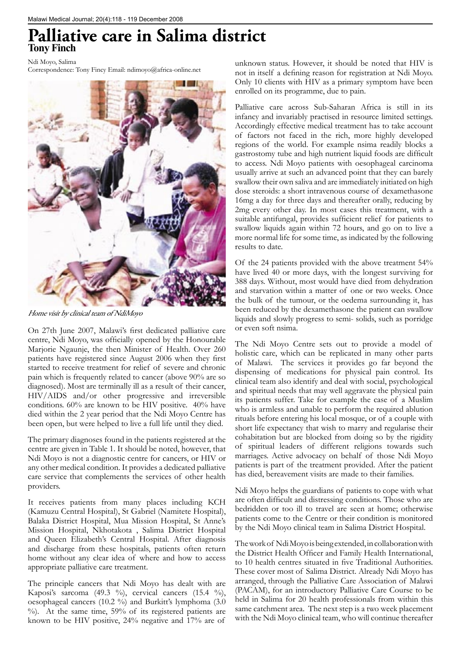## **Palliative care in Salima district Tony Finch**

Ndi Moyo, Salima

Correspondence: Tony Fincy Email: ndimoyo@africa-online.net



Home visit by clinical team of NdiMoyo

On 27th June 2007, Malawi's first dedicated palliative care centre, Ndi Moyo, was officially opened by the Honourable Marjorie Ngaunje, the then Minister of Health. Over 260 patients have registered since August 2006 when they first started to receive treatment for relief of severe and chronic pain which is frequently related to cancer (above 90% are so diagnosed). Most are terminally ill as a result of their cancer, HIV/AIDS and/or other progressive and irreversible conditions. 60% are known to be HIV positive. 40% have died within the 2 year period that the Ndi Moyo Centre has been open, but were helped to live a full life until they died.

The primary diagnoses found in the patients registered at the centre are given in Table 1. It should be noted, however, that Ndi Moyo is not a diagnostic centre for cancers, or HIV or any other medical condition. It provides a dedicated palliative care service that complements the services of other health providers.

It receives patients from many places including KCH (Kamuzu Central Hospital), St Gabriel (Namitete Hospital), Balaka District Hospital, Mua Mission Hospital, St Anne's Mission Hospital, Nkhotakota , Salima District Hospital and Queen Elizabeth's Central Hospital. After diagnosis and discharge from these hospitals, patients often return home without any clear idea of where and how to access appropriate palliative care treatment.

The principle cancers that Ndi Moyo has dealt with are Kaposi's sarcoma (49.3 %), cervical cancers (15.4 %), oesophageal cancers (10.2 %) and Burkitt's lymphoma (3.0 %). At the same time, 59% of its registered patients are known to be HIV positive, 24% negative and 17% are of

unknown status. However, it should be noted that HIV is not in itself a defining reason for registration at Ndi Moyo. Only 10 clients with HIV as a primary symptom have been enrolled on its programme, due to pain.

Palliative care across Sub-Saharan Africa is still in its infancy and invariably practised in resource limited settings. Accordingly effective medical treatment has to take account of factors not faced in the rich, more highly developed regions of the world. For example nsima readily blocks a gastrostomy tube and high nutrient liquid foods are difficult to access. Ndi Moyo patients with oesophageal carcinoma usually arrive at such an advanced point that they can barely swallow their own saliva and are immediately initiated on high dose steroids: a short intravenous course of dexamethasone 16mg a day for three days and thereafter orally, reducing by 2mg every other day. In most cases this treatment, with a suitable antifungal, provides sufficient relief for patients to swallow liquids again within 72 hours, and go on to live a more normal life for some time, as indicated by the following results to date.

Of the 24 patients provided with the above treatment 54% have lived 40 or more days, with the longest surviving for 388 days. Without, most would have died from dehydration and starvation within a matter of one or two weeks. Once the bulk of the tumour, or the oedema surrounding it, has been reduced by the dexamethasone the patient can swallow liquids and slowly progress to semi- solids, such as porridge or even soft nsima.

The Ndi Moyo Centre sets out to provide a model of holistic care, which can be replicated in many other parts of Malawi. The services it provides go far beyond the dispensing of medications for physical pain control. Its clinical team also identify and deal with social, psychological and spiritual needs that may well aggravate the physical pain its patients suffer. Take for example the case of a Muslim who is armless and unable to perform the required ablution rituals before entering his local mosque, or of a couple with short life expectancy that wish to marry and regularise their cohabitation but are blocked from doing so by the rigidity of spiritual leaders of different religions towards such marriages. Active advocacy on behalf of those Ndi Moyo patients is part of the treatment provided. After the patient has died, bereavement visits are made to their families.

Ndi Moyo helps the guardians of patients to cope with what are often difficult and distressing conditions. Those who are bedridden or too ill to travel are seen at home; otherwise patients come to the Centre or their condition is monitored by the Ndi Moyo clinical team in Salima District Hospital.

The work of Ndi Moyo is being extended, in collaboration with the District Health Officer and Family Health International, to 10 health centres situated in five Traditional Authorities. These cover most of Salima District. Already Ndi Moyo has arranged, through the Palliative Care Association of Malawi (PACAM), for an introductory Palliative Care Course to be held in Salima for 20 health professionals from within this same catchment area. The next step is a two week placement with the Ndi Moyo clinical team, who will continue thereafter